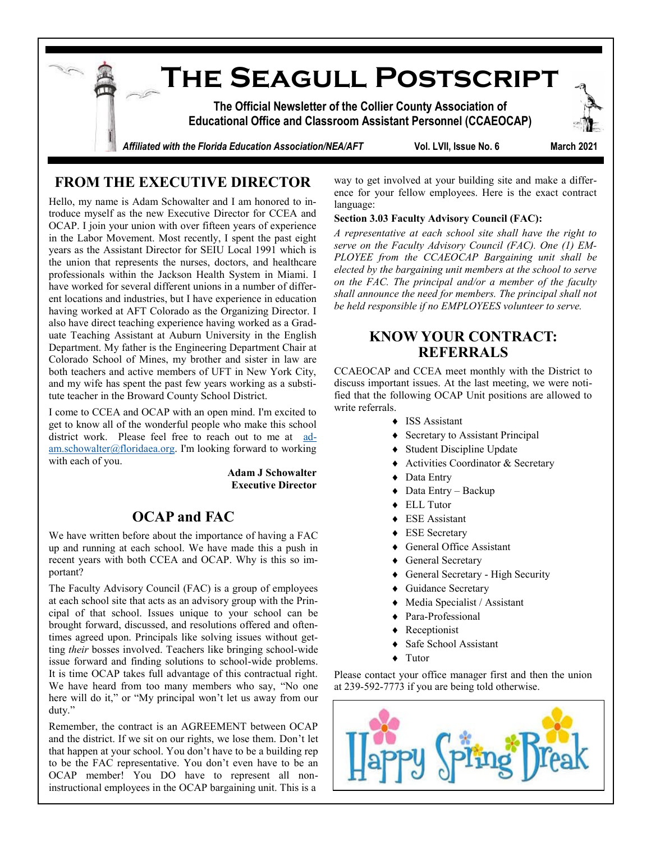**The Seagull Postscript The Official Newsletter of the Collier County Association of Educational Office and Classroom Assistant Personnel (CCAEOCAP)** Affiliated with the Florida Education Association/NEA/AFT **Wol. LVII, Issue No. 6** March 2021

# **FROM THE EXECUTIVE DIRECTOR**

Hello, my name is Adam Schowalter and I am honored to introduce myself as the new Executive Director for CCEA and OCAP. I join your union with over fifteen years of experience in the Labor Movement. Most recently, I spent the past eight years as the Assistant Director for SEIU Local 1991 which is the union that represents the nurses, doctors, and healthcare professionals within the Jackson Health System in Miami. I have worked for several different unions in a number of different locations and industries, but I have experience in education having worked at AFT Colorado as the Organizing Director. I also have direct teaching experience having worked as a Graduate Teaching Assistant at Auburn University in the English Department. My father is the Engineering Department Chair at Colorado School of Mines, my brother and sister in law are both teachers and active members of UFT in New York City, and my wife has spent the past few years working as a substitute teacher in the Broward County School District.

I come to CCEA and OCAP with an open mind. I'm excited to get to know all of the wonderful people who make this school district work. Please feel free to reach out to me at [ad](mailto:adam.schowalter@floridaea.org)[am.schowalter@floridaea.org.](mailto:adam.schowalter@floridaea.org) I'm looking forward to working with each of you.

> **Adam J Schowalter Executive Director**

### **OCAP and FAC**

We have written before about the importance of having a FAC up and running at each school. We have made this a push in recent years with both CCEA and OCAP. Why is this so important?

The Faculty Advisory Council (FAC) is a group of employees at each school site that acts as an advisory group with the Principal of that school. Issues unique to your school can be brought forward, discussed, and resolutions offered and oftentimes agreed upon. Principals like solving issues without getting *their* bosses involved. Teachers like bringing school-wide issue forward and finding solutions to school-wide problems. It is time OCAP takes full advantage of this contractual right. We have heard from too many members who say, "No one here will do it," or "My principal won't let us away from our duty."

Remember, the contract is an AGREEMENT between OCAP and the district. If we sit on our rights, we lose them. Don't let that happen at your school. You don't have to be a building rep to be the FAC representative. You don't even have to be an OCAP member! You DO have to represent all noninstructional employees in the OCAP bargaining unit. This is a

way to get involved at your building site and make a difference for your fellow employees. Here is the exact contract language:

#### **Section 3.03 Faculty Advisory Council (FAC):**

*A representative at each school site shall have the right to serve on the Faculty Advisory Council (FAC). One (1) EM-PLOYEE from the CCAEOCAP Bargaining unit shall be elected by the bargaining unit members at the school to serve on the FAC. The principal and/or a member of the faculty shall announce the need for members. The principal shall not be held responsible if no EMPLOYEES volunteer to serve.*

#### **KNOW YOUR CONTRACT: REFERRALS**

CCAEOCAP and CCEA meet monthly with the District to discuss important issues. At the last meeting, we were notified that the following OCAP Unit positions are allowed to write referrals.

- ◆ ISS Assistant
- Secretary to Assistant Principal
- Student Discipline Update
- ◆ Activities Coordinator & Secretary
- ◆ Data Entry
- Data Entry Backup
- ◆ ELL Tutor
- ESE Assistant
- ◆ ESE Secretary
- General Office Assistant
- ◆ General Secretary
- General Secretary High Security
- Guidance Secretary
- Media Specialist / Assistant
- ◆ Para-Professional
- Receptionist
- Safe School Assistant
- Tutor

Please contact your office manager first and then the union at 239-592-7773 if you are being told otherwise.